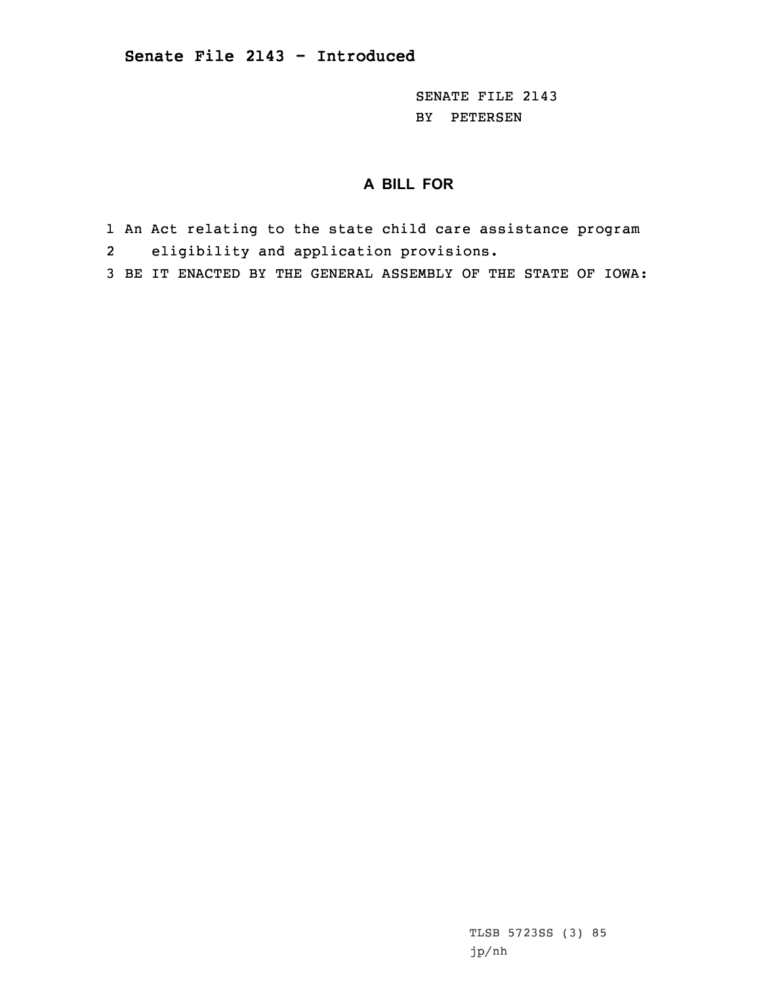SENATE FILE 2143 BY PETERSEN

## **A BILL FOR**

- 1 An Act relating to the state child care assistance program 2 eligibility and application provisions.
- 3 BE IT ENACTED BY THE GENERAL ASSEMBLY OF THE STATE OF IOWA:

TLSB 5723SS (3) 85 jp/nh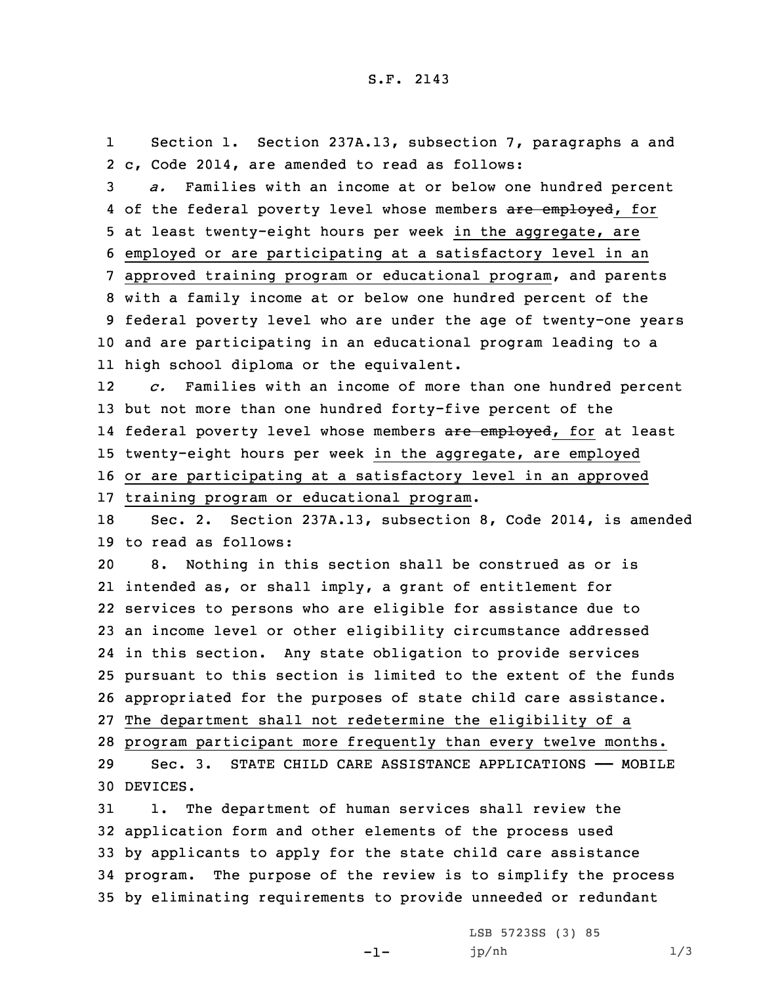1 Section 1. Section 237A.13, subsection 7, paragraphs <sup>a</sup> and 2 c, Code 2014, are amended to read as follows:

 *a.* Families with an income at or below one hundred percent 4 of the federal poverty level whose members <del>are employed</del>, for at least twenty-eight hours per week in the aggregate, are employed or are participating at <sup>a</sup> satisfactory level in an approved training program or educational program, and parents with <sup>a</sup> family income at or below one hundred percent of the federal poverty level who are under the age of twenty-one years and are participating in an educational program leading to <sup>a</sup> high school diploma or the equivalent.

12 *c.* Families with an income of more than one hundred percent 13 but not more than one hundred forty-five percent of the 14 federal poverty level whose members <del>are employed</del>, for at least 15 twenty-eight hours per week in the aggregate, are employed 16 or are participating at <sup>a</sup> satisfactory level in an approved 17 training program or educational program.

18 Sec. 2. Section 237A.13, subsection 8, Code 2014, is amended 19 to read as follows:

 8. Nothing in this section shall be construed as or is intended as, or shall imply, <sup>a</sup> grant of entitlement for services to persons who are eligible for assistance due to an income level or other eligibility circumstance addressed in this section. Any state obligation to provide services pursuant to this section is limited to the extent of the funds appropriated for the purposes of state child care assistance. The department shall not redetermine the eligibility of <sup>a</sup> program participant more frequently than every twelve months. Sec. 3. STATE CHILD CARE ASSISTANCE APPLICATIONS —— MOBILE

30 DEVICES.

 1. The department of human services shall review the application form and other elements of the process used by applicants to apply for the state child care assistance program. The purpose of the review is to simplify the process by eliminating requirements to provide unneeded or redundant

-1-

LSB 5723SS (3) 85 jp/nh 1/3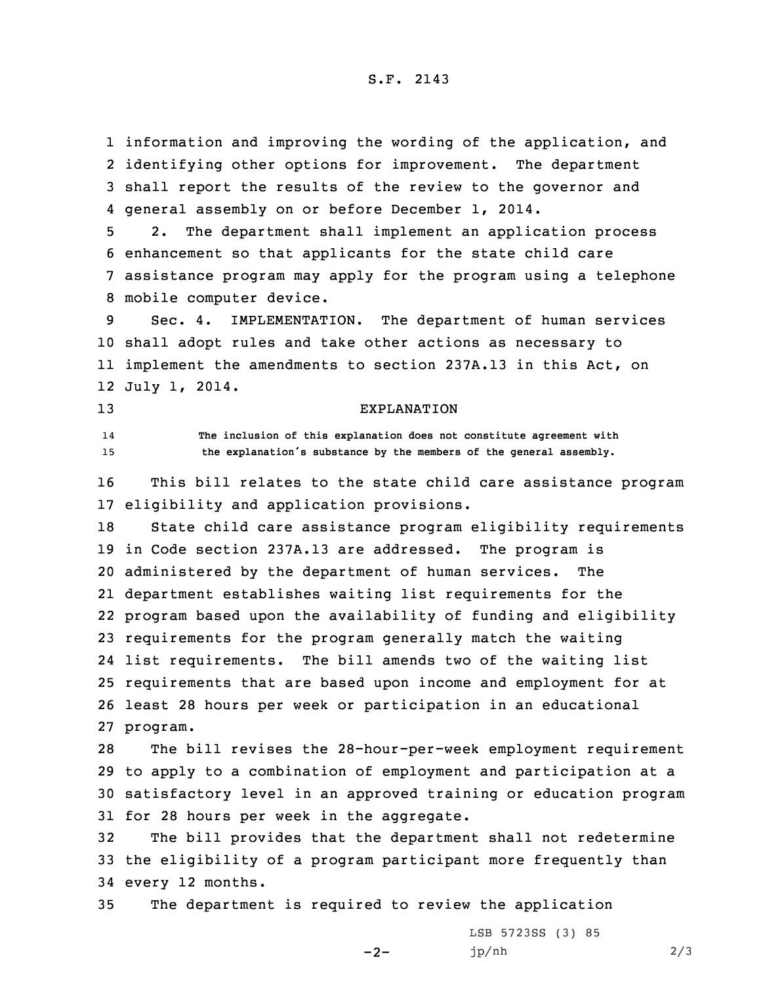information and improving the wording of the application, and identifying other options for improvement. The department shall report the results of the review to the governor and general assembly on or before December 1, 2014.

 2. The department shall implement an application process enhancement so that applicants for the state child care assistance program may apply for the program using <sup>a</sup> telephone mobile computer device.

 Sec. 4. IMPLEMENTATION. The department of human services shall adopt rules and take other actions as necessary to implement the amendments to section 237A.13 in this Act, on July 1, 2014.

14

## 13 EXPLANATION

 **The inclusion of this explanation does not constitute agreement with** <sup>15</sup> **the explanation's substance by the members of the general assembly.**

16 This bill relates to the state child care assistance program 17 eligibility and application provisions.

 State child care assistance program eligibility requirements in Code section 237A.13 are addressed. The program is administered by the department of human services. The department establishes waiting list requirements for the program based upon the availability of funding and eligibility requirements for the program generally match the waiting list requirements. The bill amends two of the waiting list requirements that are based upon income and employment for at least 28 hours per week or participation in an educational 27 program.

 The bill revises the 28-hour-per-week employment requirement to apply to <sup>a</sup> combination of employment and participation at <sup>a</sup> satisfactory level in an approved training or education program for 28 hours per week in the aggregate.

32 The bill provides that the department shall not redetermine 33 the eligibility of <sup>a</sup> program participant more frequently than 34 every 12 months.

 $-2-$ 

35 The department is required to review the application

LSB 5723SS (3) 85 jp/nh 2/3